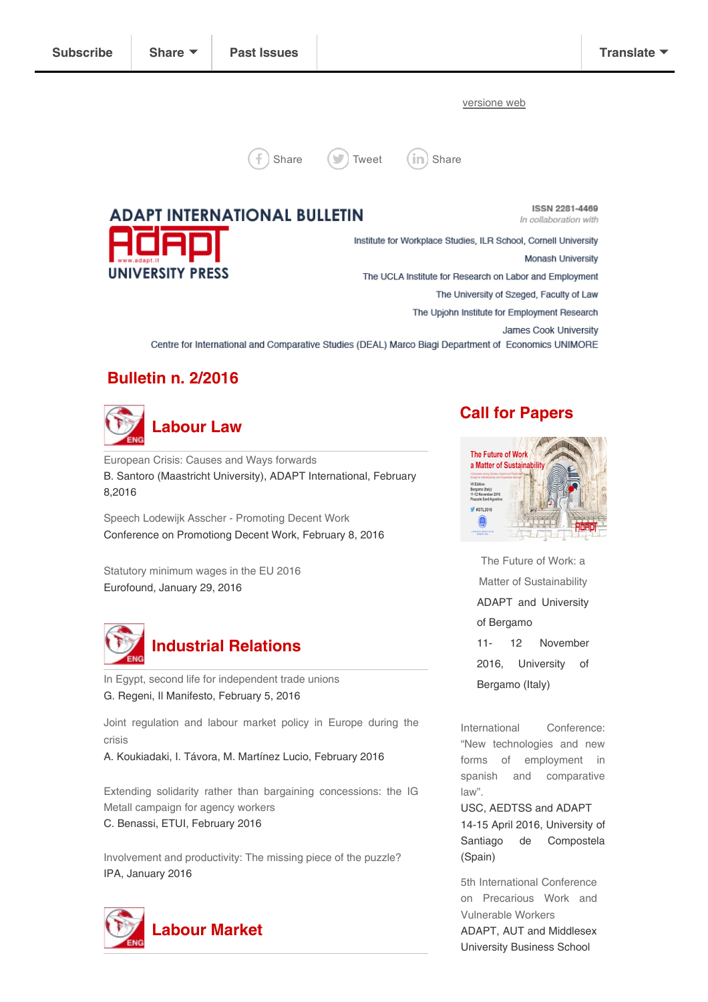[versione](http://us3.campaign-archive2.com/?u=477f592c29b5a739ce4cc8917&id=3917011796&e=[UNIQID]) web





# **ADAPT INTERNATIONAL BULLETIN UNIVERSITY PRESS**

**ISSN 2281-4469** In collaboration with

Institute for Workplace Studies, ILR School, Cornell University Monash University The UCLA Institute for Research on Labor and Employment The University of Szeged, Faculty of Law The Upjohn Institute for Employment Research James Cook University Centre for International and Comparative Studies (DEAL) Marco Biagi Department of Economics UNIMORE

# Bulletin n. 2/2016



[European](http://adapt.it/englishbulletin/wp/european-crisis-causes-and-ways-forwards/) Crisis: Causes and Ways forwards B. Santoro (Maastricht University), ADAPT International, February 8,2016

Speech Lodewijk Asscher - [Promoting](http://francais.eu2016.nl/documents/publicaties/2016/02/08/speech-lodewijk-asscher---promoting-decent-work) Decent Work Conference on Promotiong Decent Work, February 8, 2016

Statutory [minimum](http://www.eurofound.europa.eu/observatories/eurwork/articles/working-conditions-industrial-relations/statutory-minimum-wages-in-the-eu-2016) wages in the EU 2016 Eurofound, January 29, 2016



In Egypt, second life for [independent](http://ilmanifesto.info/in-egypt-second-life-for-independent-trade-unions/) trade unions G. Regeni, Il Manifesto, February 5, 2016

Joint [regulation](https://www.etui.org/Publications2/Books/Joint-regulation-and-labour-market-policy-in-Europe-during-the-crisis) and labour market policy in Europe during the crisis

A. Koukiadaki, I. Távora, M. Martínez Lucio, February 2016

Extending solidarity rather than bargaining [concessions:](http://www.etui.org/Publications2/Policy-Briefs/European-Economic-Employment-and-Social-Policy/Extending-solidarity-rather-than-bargaining-concessions-the-IG-Metall-campaign-for-agency-workers) the IG Metall campaign for agency workers C. Benassi, ETUI, February 2016

Involvement and [productivity:](http://www.ipa-involve.com/resources/publications/involvement-and-productivity/?Involvement%20and%20Productivity) The missing piece of the puzzle? IPA, January 2016



## Call for Papers



The Future of Work: a Matter of [Sustainability](http://adapt.it/englishbulletin/wp/3984-2/) ADAPT and University of Bergamo 11- 12 November 2016, University of Bergamo (Italy)

International Conference: "New [technologies](http://adapt.it/englishbulletin/wp/events/international-conference-new-technologies-and-new-forms-of-employment-in-spanish-and-comparative-law-adapt-or-die-united-kingdom-france-germany-italy-poland-argentina-and/) and new forms of employment in spanish and comparative law".

USC, AEDTSS and ADAPT 14-15 April 2016, University of Santiago de Compostela (Spain)

5th [International](http://adapt.it/englishbulletin/wp/events/fifth-international-conference-on-precarious-work-and-vulnerable-workers/) Conference on Precarious Work and Vulnerable Workers ADAPT, AUT and Middlesex University Business School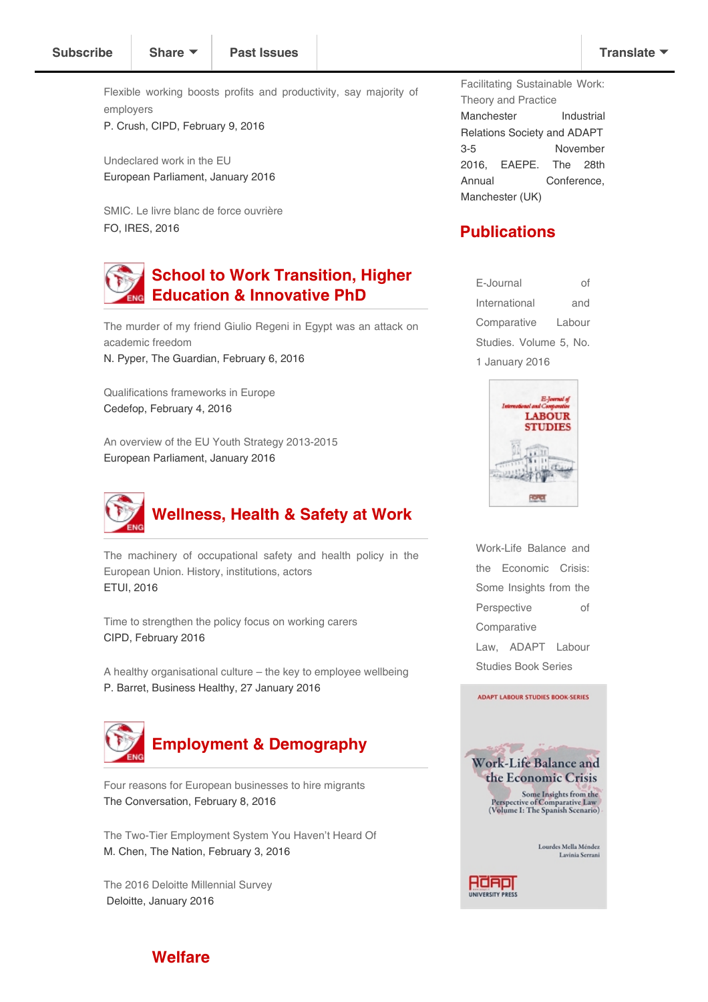Flexible working boosts profits and [productivity,](http://www.cipd.co.uk/pm/peoplemanagement/b/weblog/archive/2016/02/09/flexible-working-boosts-profits-and-productivity-say-majority-of-employers.aspx?utm_medium=email&utm_source=cipd&utm_campaign=pm_daily&utm_term=1131065&utm_content=pm_daily_090216-4871-5422---20160209160639-Flexible%20working%20boosts%20profits%20and%20productivity%2C%20say%20majority%20of%20employers) say majority of employers

P. Crush, CIPD, February 9, 2016

[Undeclared](http://www.europarl.europa.eu/RegData/etudes/BRIE/2016/573900/EPRS_BRI%282016%29573900_EN.pdf) work in the EU European Parliament, January 2016

SMIC. Le livre blanc de force [ouvrière](http://www.ires.fr/images/files/EtudesAO/CGTFO/EtudeCGT%20FO%20livre%20blanc%20SMIC%202016.pdf) FO, IRES, 2016

# School to Work Transition, Higher Education & Innovative PhD

The murder of my friend Giulio Regeni in Egypt was an attack on [academic](http://www.theguardian.com/commentisfree/2016/feb/06/murder-giulio-regeni-egypt-academic-freedom-students) freedom N. Pyper, The Guardian, February 6, 2016

[Qualifications](http://www.cedefop.europa.eu/files/9109_en.pdf) frameworks in Europe Cedefop, February 4, 2016

An overview of the EU Youth Strategy [2013-2015](http://www.europarl.europa.eu/RegData/etudes/BRIE/2016/573953/EPRS_BRI%282016%29573953_EN.pdf) European Parliament, January 2016



The machinery of [occupational](http://www.etui.org/Publications2/Guides/The-machinery-of-occupational-safety-and-health-policy-in-the-European-Union.-History-institutions-actors) safety and health policy in the European Union. History, institutions, actors ETUI, 2016

Time to [strengthen](http://www.cipd.co.uk/binaries/time-to-strengthen-the-policy-focus-on-working-carers_2016.pdf) the policy focus on working carers CIPD, February 2016

A healthy [organisational](https://www.businesshealthy.org/healthy-organisational-culture-key-employee-wellbeing/) culture – the key to employee wellbeing P. Barret, Business Healthy, 27 January 2016



Four reasons for European [businesses](https://theconversation.com/four-reasons-for-european-businesses-to-hire-migrants-53530) to hire migrants The Conversation, February 8, 2016

The Two-Tier [Employment](http://www.thenation.com/article/the-two-tier-employment-system-you-havent-heard-of/) System You Haven't Heard Of M. Chen, The Nation, February 3, 2016

The 2016 Deloitte [Millennial](http://www2.deloitte.com/content/dam/Deloitte/global/Documents/About-Deloitte/gx-millenial-survey-2016-exec-summary.pdf) Survey Deloitte, January 2016

Facilitating [Sustainable](http://adapt.it/englishbulletin/wp/events/facilitating-sustainable-work-theory-and-practice/) Work: Theory and Practice Manchester Industrial Relations Society and ADAPT 3-5 November 2016, EAEPE. The 28th Annual Conference, Manchester (UK)

13-14 June 2016, Middlesex

### **Publications**

E-Journal of International and [Comparative](http://www.adapt.it/EJCLS/index.php/ejcls_adapt/issue/current) Labour Studies. Volume 5, No. 1 January 2016



Work-Life Balance and the Economic Crisis: Some Insights from the Perspective of [Comparative](http://adapt.it/englishbulletin/wp/adapt-labor-studies-book-series/) Law, ADAPT Labour Studies Book Series



Lourdes Mella Méndez Lavinia Serrani



#### **Welfare**